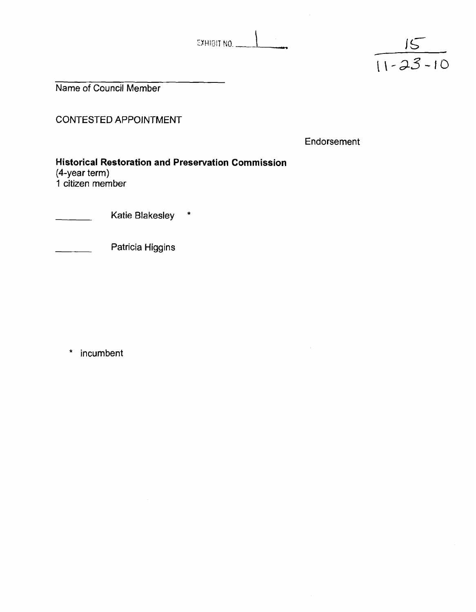EXHIBIT NO.



Name of Council Member

CONTESTED APPOINTMENT

Endorsement

**Historical Restoration and Preservation Commission**   $(4$ -year term) 1 citizen member

Katie Blakesley \*

Patricia Higgins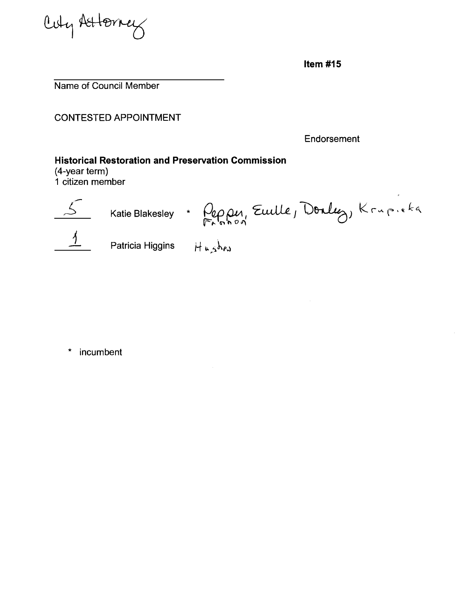Cuty Attorney

Item  $#15$ 

Name of Council Member

CONTESTED APPOINTMENT

Endorsement

### **Historical Restoration and Preservation Commission**

(4-year term) **1** citizen member



S Katie Blakesley \* Peppy, Euille, Donly, Krupieka<br>1 Patricia Higgins *Hushes* 

 $\bar{\tau}$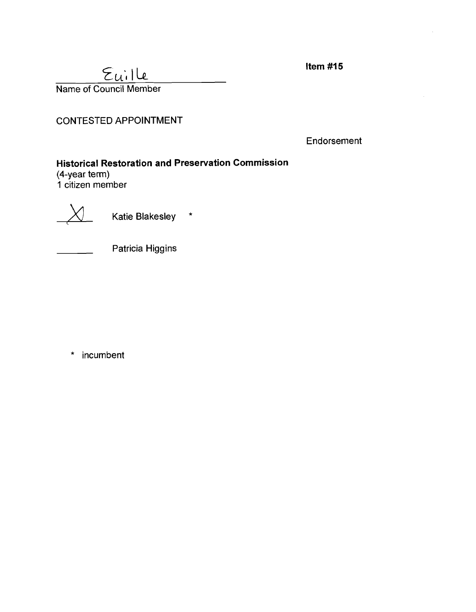**Item #15** 



CONTESTED APPOINTMENT

Endorsement

# **Historical Restoration and Preservation Commission**

(4-year term) **1** citizen member



Katie Blakesley \*



Patricia Higgins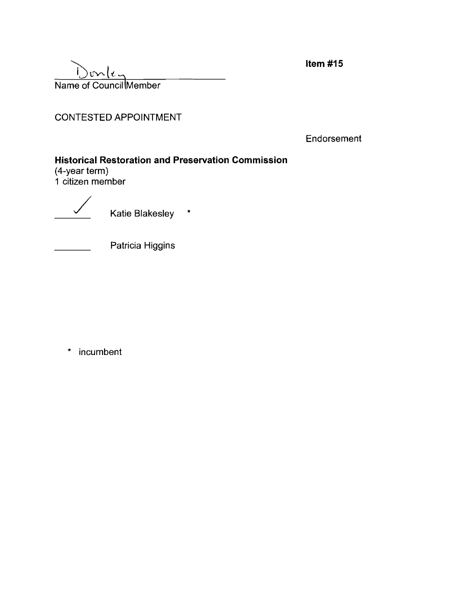Name of Council Member

Item #15

CONTESTED APPOINTMENT

Endorsement

## **Historical Restoration and Preservation Commission**

(4-year term) 1 citizen mernber

Katie Blakesley \*



Patricia Higgins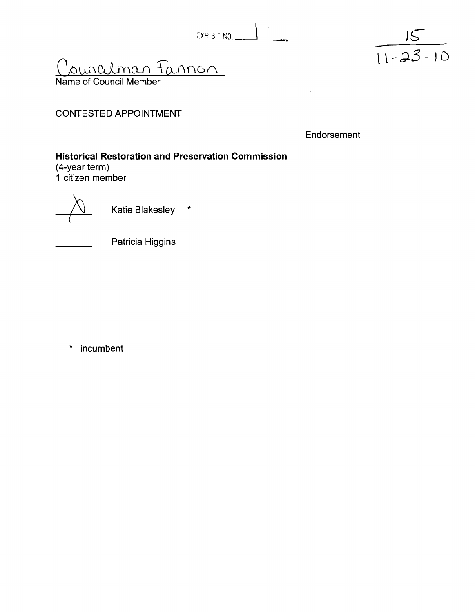

<u>Councilman Fannon</u>

Name of Council Member

CONTESTED APPOINTMENT

Endorsement

**Historical Restoration and Preservation Commission**  (4-year term) **I** citizen member

Katie Blakesley  $\star$ 

![](_page_4_Picture_8.jpeg)

Patricia Higgins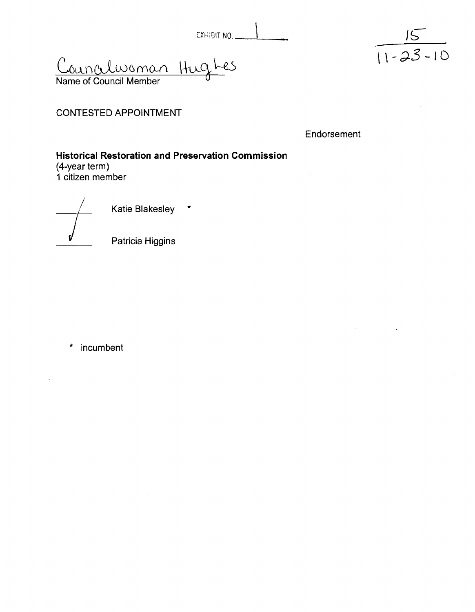Councelwoman Hughes Name of Council Member

![](_page_5_Picture_2.jpeg)

CONTESTED APPOINTMENT

Endorsement

**Historical Restoration and Preservation Commission**  (4-year term) **1** citizen member

1 citizen member<br>
Katie Blakesley \*

Patricia Higgins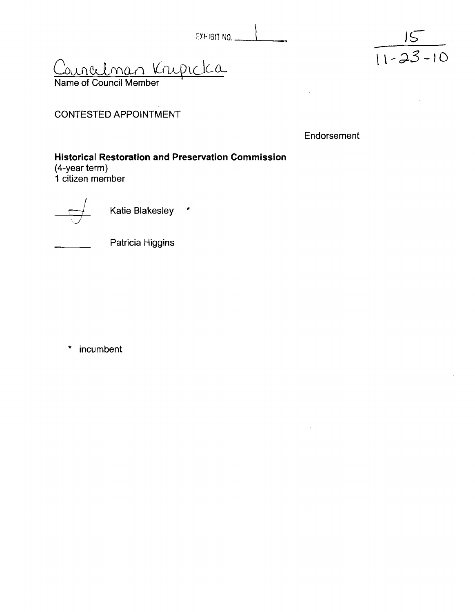| EXHIBIT NO. |  |  |
|-------------|--|--|

<u>Councilman Kripicka</u>

Name of Council Member

CONTESTED APPOINTMENT

**Endorsement** 

 $\frac{15}{11-23-10}$ 

# **Historical Restoration and Preservation Commission** (4-year term) I citizen member 1 citizen member<br>
<del>4</del> Katie Blakesley \*

Patricia Higgins